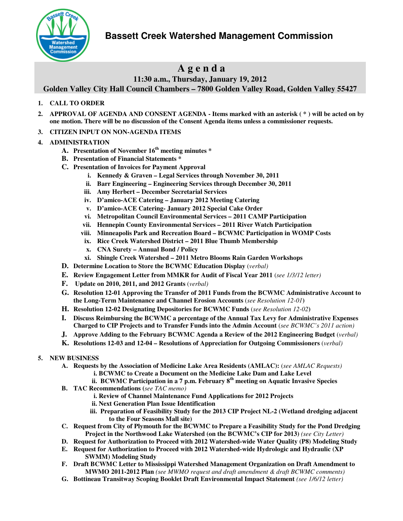**Bassett Creek Watershed Management Commission** 



# **A g e n d a**

## **11:30 a.m., Thursday, January 19, 2012**

**Golden Valley City Hall Council Chambers – 7800 Golden Valley Road, Golden Valley 55427** 

### **1. CALL TO ORDER**

- **2. APPROVAL OF AGENDA AND CONSENT AGENDA Items marked with an asterisk ( \* ) will be acted on by one motion. There will be no discussion of the Consent Agenda items unless a commissioner requests.**
- **3. CITIZEN INPUT ON NON-AGENDA ITEMS**
- **4. ADMINISTRATION** 
	- **A. Presentation of November 16th meeting minutes \***
	- **B. Presentation of Financial Statements \***
	- **C. Presentation of Invoices for Payment Approval** 
		- **i. Kennedy & Graven Legal Services through November 30, 2011**
		- **ii. Barr Engineering Engineering Services through December 30, 2011**
		- **iii. Amy Herbert December Secretarial Services**
		- **iv. D'amico-ACE Catering January 2012 Meeting Catering**
		- **v. D'amico-ACE Catering- January 2012 Special Cake Order**
		- **vi. Metropolitan Council Environmental Services 2011 CAMP Participation**
		- **vii. Hennepin County Environmental Services 2011 River Watch Participation**
		- **viii. Minneapolis Park and Recreation Board BCWMC Participation in WOMP Costs**
		- **ix. Rice Creek Watershed District 2011 Blue Thumb Membership**
		- **x. CNA Surety Annual Bond / Policy**
		- **xi. Shingle Creek Watershed 2011 Metro Blooms Rain Garden Workshops**
	- **D. Determine Location to Store the BCWMC Education Display** (*verbal)*
	- **E. Review Engagement Letter from MMKR for Audit of Fiscal Year 2011** (*see 1/3/12 letter)*
	- **F. Update on 2010, 2011, and 2012 Grants** (*verbal)*
	- **G. Resolution 12-01 Approving the Transfer of 2011 Funds from the BCWMC Administrative Account to the Long-Term Maintenance and Channel Erosion Accounts** (*see Resolution 12-01***)**
	- **H. Resolution 12-02 Designating Depositories for BCWMC Funds** (*see Resolution 12-02***)**
	- **I. Discuss Reimbursing the BCWMC a percentage of the Annual Tax Levy for Administrative Expenses Charged to CIP Projects and to Transfer Funds into the Admin Account** (*see BCWMC's 2011 action)*
	- **J. Approve Adding to the February BCWMC Agenda a Review of the 2012 Engineering Budget** (*verbal)*
	- **K. Resolutions 12-03 and 12-04 Resolutions of Appreciation for Outgoing Commissioners** (*verbal)*
- **5. NEW BUSINESS** 
	- **A. Requests by the Association of Medicine Lake Area Residents (AMLAC):** (*see AMLAC Requests)* **i. BCWMC to Create a Document on the Medicine Lake Dam and Lake Level** 
		- **ii. BCWMC Participation in a 7 p.m. February 8th meeting on Aquatic Invasive Species**
	- **B. TAC Recommendations (***see TAC memo)*
		- **i. Review of Channel Maintenance Fund Applications for 2012 Projects**
		- **ii. Next Generation Plan Issue Identification**
		- **iii. Preparation of Feasibility Study for the 2013 CIP Project NL-2 (Wetland dredging adjacent to the Four Seasons Mall site)**
	- **C. Request from City of Plymouth for the BCWMC to Prepare a Feasibility Study for the Pond Dredging Project in the Northwood Lake Watershed (on the BCWMC's CIP for 2013)** *(see City Letter)*
	- **D. Request for Authorization to Proceed with 2012 Watershed-wide Water Quality (P8) Modeling Study**
	- **E. Request for Authorization to Proceed with 2012 Watershed-wide Hydrologic and Hydraulic (XP SWMM) Modeling Study**
	- **F. Draft BCWMC Letter to Mississippi Watershed Management Organization on Draft Amendment to MWMO 2011-2012 Plan** *(see MWMO request and draft amendment & draft BCWMC comments)*
	- **G. Bottineau Transitway Scoping Booklet Draft Environmental Impact Statement** *(see 1/6/12 letter)*